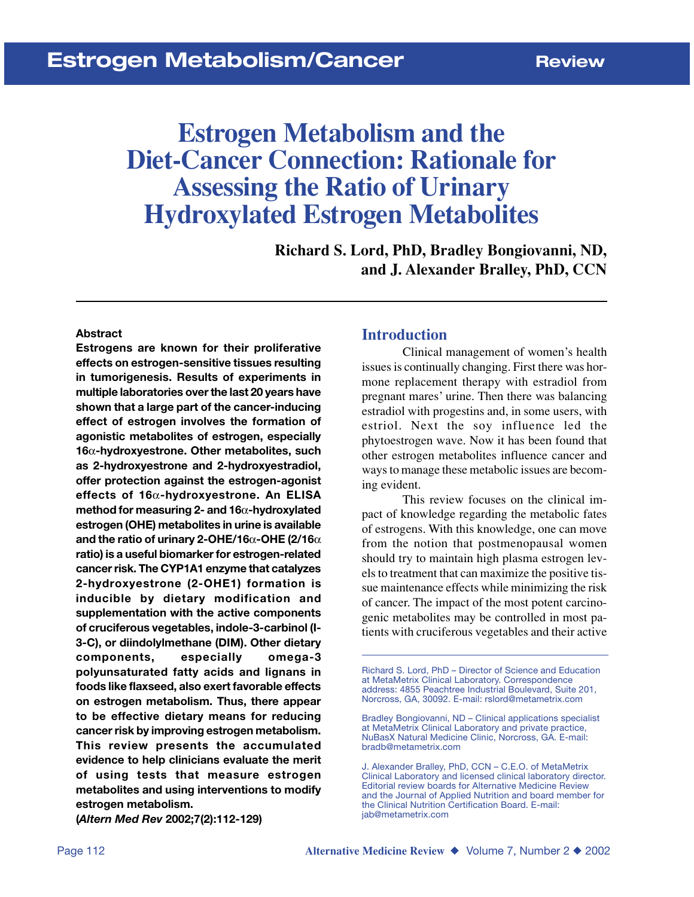# **Estrogen Metabolism and the Diet-Cancer Connection: Rationale for Assessing the Ratio of Urinary Hydroxylated Estrogen Metabolites**

**Richard S. Lord, PhD, Bradley Bongiovanni, ND, and J. Alexander Bralley, PhD, CCN**

#### **Abstract**

**Estrogens are known for their proliferative effects on estrogen-sensitive tissues resulting in tumorigenesis. Results of experiments in multiple laboratories over the last 20 years have shown that a large part of the cancer-inducing effect of estrogen involves the formation of agonistic metabolites of estrogen, especially 16**α**-hydroxyestrone. Other metabolites, such as 2-hydroxyestrone and 2-hydroxyestradiol, offer protection against the estrogen-agonist effects of 16**α**-hydroxyestrone. An ELISA method for measuring 2- and 16**α**-hydroxylated estrogen (OHE) metabolites in urine is available and the ratio of urinary 2-OHE/16**α**-OHE (2/16**α **ratio) is a useful biomarker for estrogen-related cancer risk. The CYP1A1 enzyme that catalyzes 2-hydroxyestrone (2-OHE1) formation is inducible by dietary modification and supplementation with the active components of cruciferous vegetables, indole-3-carbinol (I-3-C), or diindolylmethane (DIM). Other dietary components, especially omega-3 polyunsaturated fatty acids and lignans in foods like flaxseed, also exert favorable effects on estrogen metabolism. Thus, there appear to be effective dietary means for reducing cancer risk by improving estrogen metabolism. This review presents the accumulated evidence to help clinicians evaluate the merit of using tests that measure estrogen metabolites and using interventions to modify estrogen metabolism.**

**(***Altern Med Rev* **2002;7(2):112-129)**

#### **Introduction**

Clinical management of women's health issues is continually changing. First there was hormone replacement therapy with estradiol from pregnant mares' urine. Then there was balancing estradiol with progestins and, in some users, with estriol. Next the soy influence led the phytoestrogen wave. Now it has been found that other estrogen metabolites influence cancer and ways to manage these metabolic issues are becoming evident.

This review focuses on the clinical impact of knowledge regarding the metabolic fates of estrogens. With this knowledge, one can move from the notion that postmenopausal women should try to maintain high plasma estrogen levels to treatment that can maximize the positive tissue maintenance effects while minimizing the risk of cancer. The impact of the most potent carcinogenic metabolites may be controlled in most patients with cruciferous vegetables and their active

Richard S. Lord, PhD – Director of Science and Education at MetaMetrix Clinical Laboratory. Correspondence address: 4855 Peachtree Industrial Boulevard, Suite 201, Norcross, GA, 30092. E-mail: rslord@metametrix.com

Bradley Bongiovanni, ND – Clinical applications specialist at MetaMetrix Clinical Laboratory and private practice, NuBasX Natural Medicine Clinic, Norcross, GA. E-mail: bradb@metametrix.com

J. Alexander Bralley, PhD, CCN – C.E.O. of MetaMetrix Clinical Laboratory and licensed clinical laboratory director. Editorial review boards for Alternative Medicine Review and the Journal of Applied Nutrition and board member for the Clinical Nutrition Certification Board. E-mail: jab@metametrix.com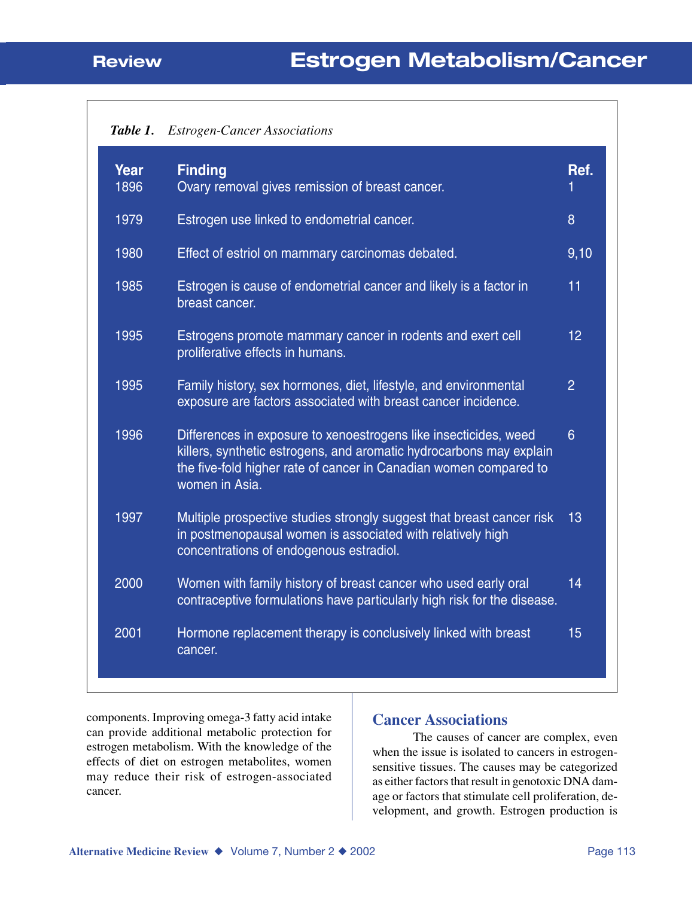| Table 1. | <b>Estrogen-Cancer Associations</b> |  |
|----------|-------------------------------------|--|
|----------|-------------------------------------|--|

| Year<br>1896 | <b>Finding</b><br>Ovary removal gives remission of breast cancer.                                                                                                                                                              | Ref.           |
|--------------|--------------------------------------------------------------------------------------------------------------------------------------------------------------------------------------------------------------------------------|----------------|
| 1979         | Estrogen use linked to endometrial cancer.                                                                                                                                                                                     | 8              |
| 1980         | Effect of estriol on mammary carcinomas debated.                                                                                                                                                                               | 9,10           |
| 1985         | Estrogen is cause of endometrial cancer and likely is a factor in<br>breast cancer.                                                                                                                                            | 11             |
| 1995         | Estrogens promote mammary cancer in rodents and exert cell<br>proliferative effects in humans.                                                                                                                                 | 12             |
| 1995         | Family history, sex hormones, diet, lifestyle, and environmental<br>exposure are factors associated with breast cancer incidence.                                                                                              | $\overline{2}$ |
| 1996         | Differences in exposure to xenoestrogens like insecticides, weed<br>killers, synthetic estrogens, and aromatic hydrocarbons may explain<br>the five-fold higher rate of cancer in Canadian women compared to<br>women in Asia. | 6              |
| 1997         | Multiple prospective studies strongly suggest that breast cancer risk<br>in postmenopausal women is associated with relatively high<br>concentrations of endogenous estradiol.                                                 | 13             |
| 2000         | Women with family history of breast cancer who used early oral<br>contraceptive formulations have particularly high risk for the disease.                                                                                      | 14             |
| 2001         | Hormone replacement therapy is conclusively linked with breast<br>cancer.                                                                                                                                                      | 15             |
|              |                                                                                                                                                                                                                                |                |

components. Improving omega-3 fatty acid intake can provide additional metabolic protection for estrogen metabolism. With the knowledge of the effects of diet on estrogen metabolites, women may reduce their risk of estrogen-associated cancer.

#### **Cancer Associations**

The causes of cancer are complex, even when the issue is isolated to cancers in estrogensensitive tissues. The causes may be categorized as either factors that result in genotoxic DNA damage or factors that stimulate cell proliferation, development, and growth. Estrogen production is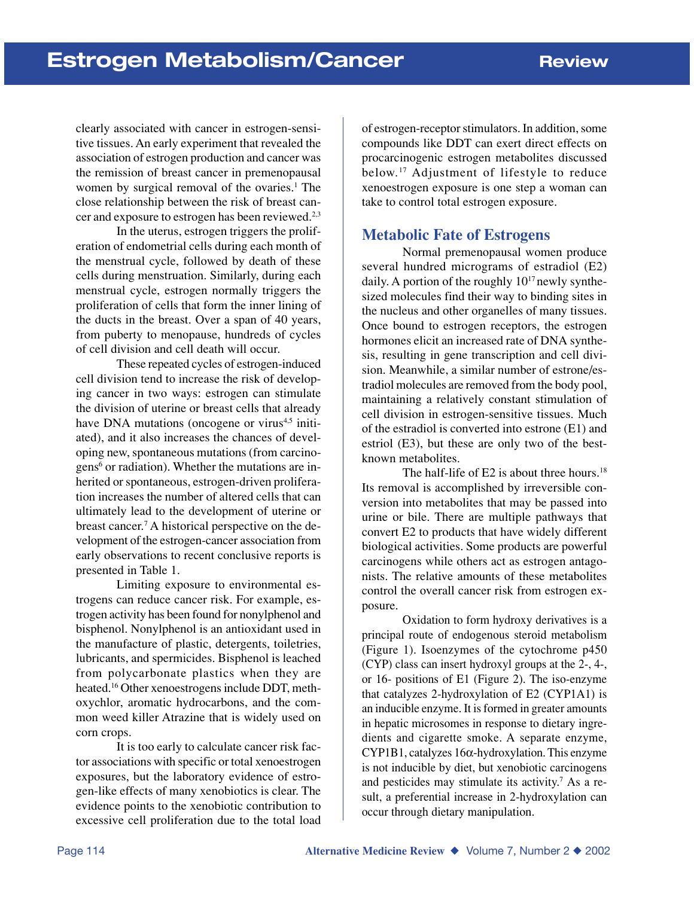clearly associated with cancer in estrogen-sensitive tissues. An early experiment that revealed the association of estrogen production and cancer was the remission of breast cancer in premenopausal women by surgical removal of the ovaries.<sup>1</sup> The close relationship between the risk of breast cancer and exposure to estrogen has been reviewed.<sup>2,3</sup>

In the uterus, estrogen triggers the proliferation of endometrial cells during each month of the menstrual cycle, followed by death of these cells during menstruation. Similarly, during each menstrual cycle, estrogen normally triggers the proliferation of cells that form the inner lining of the ducts in the breast. Over a span of 40 years, from puberty to menopause, hundreds of cycles of cell division and cell death will occur.

These repeated cycles of estrogen-induced cell division tend to increase the risk of developing cancer in two ways: estrogen can stimulate the division of uterine or breast cells that already have DNA mutations (oncogene or virus<sup>4,5</sup> initiated), and it also increases the chances of developing new, spontaneous mutations (from carcinogens<sup>6</sup> or radiation). Whether the mutations are inherited or spontaneous, estrogen-driven proliferation increases the number of altered cells that can ultimately lead to the development of uterine or breast cancer.7 A historical perspective on the development of the estrogen-cancer association from early observations to recent conclusive reports is presented in Table 1.

Limiting exposure to environmental estrogens can reduce cancer risk. For example, estrogen activity has been found for nonylphenol and bisphenol. Nonylphenol is an antioxidant used in the manufacture of plastic, detergents, toiletries, lubricants, and spermicides. Bisphenol is leached from polycarbonate plastics when they are heated.16 Other xenoestrogens include DDT, methoxychlor, aromatic hydrocarbons, and the common weed killer Atrazine that is widely used on corn crops.

It is too early to calculate cancer risk factor associations with specific or total xenoestrogen exposures, but the laboratory evidence of estrogen-like effects of many xenobiotics is clear. The evidence points to the xenobiotic contribution to excessive cell proliferation due to the total load of estrogen-receptor stimulators. In addition, some compounds like DDT can exert direct effects on procarcinogenic estrogen metabolites discussed below.17 Adjustment of lifestyle to reduce xenoestrogen exposure is one step a woman can take to control total estrogen exposure.

### **Metabolic Fate of Estrogens**

Normal premenopausal women produce several hundred micrograms of estradiol (E2) daily. A portion of the roughly  $10^{17}$  newly synthesized molecules find their way to binding sites in the nucleus and other organelles of many tissues. Once bound to estrogen receptors, the estrogen hormones elicit an increased rate of DNA synthesis, resulting in gene transcription and cell division. Meanwhile, a similar number of estrone/estradiol molecules are removed from the body pool, maintaining a relatively constant stimulation of cell division in estrogen-sensitive tissues. Much of the estradiol is converted into estrone (E1) and estriol (E3), but these are only two of the bestknown metabolites.

The half-life of E2 is about three hours.<sup>18</sup> Its removal is accomplished by irreversible conversion into metabolites that may be passed into urine or bile. There are multiple pathways that convert E2 to products that have widely different biological activities. Some products are powerful carcinogens while others act as estrogen antagonists. The relative amounts of these metabolites control the overall cancer risk from estrogen exposure.

Oxidation to form hydroxy derivatives is a principal route of endogenous steroid metabolism (Figure 1). Isoenzymes of the cytochrome p450 (CYP) class can insert hydroxyl groups at the 2-, 4-, or 16- positions of E1 (Figure 2). The iso-enzyme that catalyzes 2-hydroxylation of E2 (CYP1A1) is an inducible enzyme. It is formed in greater amounts in hepatic microsomes in response to dietary ingredients and cigarette smoke. A separate enzyme, CYP1B1, catalyzes 16α-hydroxylation. This enzyme is not inducible by diet, but xenobiotic carcinogens and pesticides may stimulate its activity.7 As a result, a preferential increase in 2-hydroxylation can occur through dietary manipulation.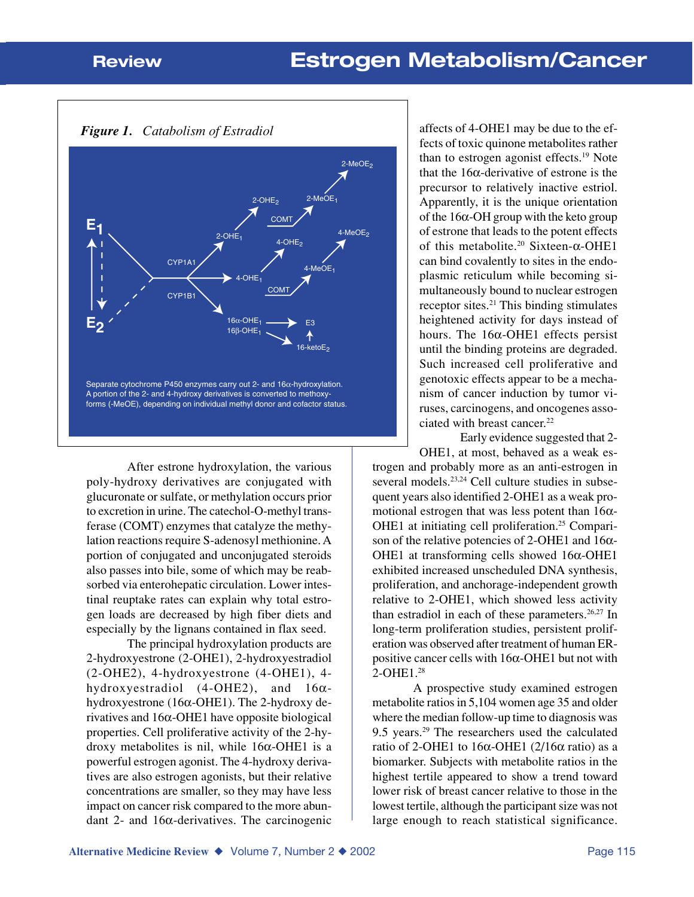*Figure 1. Catabolism of Estradiol*



After estrone hydroxylation, the various poly-hydroxy derivatives are conjugated with glucuronate or sulfate, or methylation occurs prior to excretion in urine. The catechol-O-methyl transferase (COMT) enzymes that catalyze the methylation reactions require S-adenosyl methionine. A portion of conjugated and unconjugated steroids also passes into bile, some of which may be reabsorbed via enterohepatic circulation. Lower intestinal reuptake rates can explain why total estrogen loads are decreased by high fiber diets and especially by the lignans contained in flax seed.

The principal hydroxylation products are 2-hydroxyestrone (2-OHE1), 2-hydroxyestradiol (2-OHE2), 4-hydroxyestrone (4-OHE1), 4 hydroxyestradiol (4-OHE2), and 16αhydroxyestrone (16α-OHE1). The 2-hydroxy derivatives and 16α-OHE1 have opposite biological properties. Cell proliferative activity of the 2-hydroxy metabolites is nil, while 16α-OHE1 is a powerful estrogen agonist. The 4-hydroxy derivatives are also estrogen agonists, but their relative concentrations are smaller, so they may have less impact on cancer risk compared to the more abundant 2- and 16α-derivatives. The carcinogenic

affects of 4-OHE1 may be due to the effects of toxic quinone metabolites rather than to estrogen agonist effects.19 Note that the 16α-derivative of estrone is the precursor to relatively inactive estriol. Apparently, it is the unique orientation of the 16α-OH group with the keto group of estrone that leads to the potent effects of this metabolite.20 Sixteen-α-OHE1 can bind covalently to sites in the endoplasmic reticulum while becoming simultaneously bound to nuclear estrogen receptor sites.<sup>21</sup> This binding stimulates heightened activity for days instead of hours. The  $16α$ -OHE1 effects persist until the binding proteins are degraded. Such increased cell proliferative and genotoxic effects appear to be a mechanism of cancer induction by tumor viruses, carcinogens, and oncogenes associated with breast cancer.<sup>22</sup>

Early evidence suggested that 2- OHE1, at most, behaved as a weak estrogen and probably more as an anti-estrogen in several models.<sup>23,24</sup> Cell culture studies in subsequent years also identified 2-OHE1 as a weak promotional estrogen that was less potent than  $16\alpha$ -OHE1 at initiating cell proliferation.<sup>25</sup> Comparison of the relative potencies of 2-OHE1 and  $16\alpha$ -OHE1 at transforming cells showed 16α-OHE1 exhibited increased unscheduled DNA synthesis, proliferation, and anchorage-independent growth relative to 2-OHE1, which showed less activity than estradiol in each of these parameters. $26,27$  In long-term proliferation studies, persistent proliferation was observed after treatment of human ERpositive cancer cells with 16α-OHE1 but not with 2-OHE1.28

A prospective study examined estrogen metabolite ratios in 5,104 women age 35 and older where the median follow-up time to diagnosis was 9.5 years.29 The researchers used the calculated ratio of 2-OHE1 to 16α-OHE1 (2/16α ratio) as a biomarker. Subjects with metabolite ratios in the highest tertile appeared to show a trend toward lower risk of breast cancer relative to those in the lowest tertile, although the participant size was not large enough to reach statistical significance.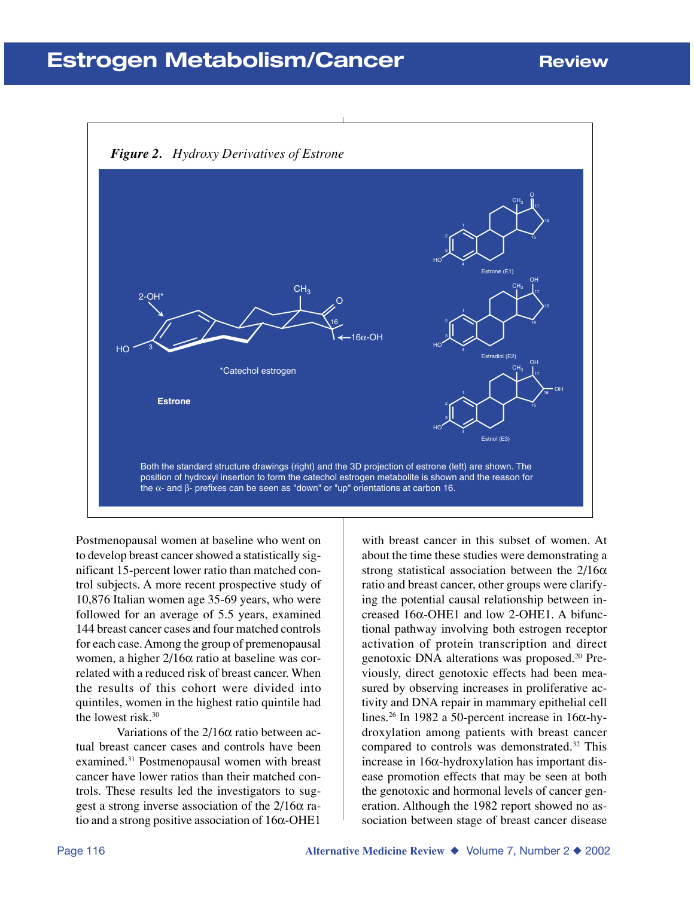## **Estrogen Metabolism/Cancer Review**

#### *Figure 2. Hydroxy Derivatives of Estrone* 16α-OH O CH3 2-OH\* HO \*Catechol estrogen **Estrone** 16 3  $CH<sub>3</sub>$ O 2 4 15 16 17 HO Estrone (E1)  $CH<sub>3</sub>$ OH 2 4 15 16 17 HO Estradiol (E2)  $CH<sub>3</sub>$ OH 2 4 15 16 17 HO Estriol (E3) OH Both the standard structure drawings (right) and the 3D projection of estrone (left) are shown. The position of hydroxyl insertion to form the catechol estrogen metabolite is shown and the reason for the  $α$ - and  $β$ - prefixes can be seen as "down" or "up" orientations at carbon 16.

Postmenopausal women at baseline who went on to develop breast cancer showed a statistically significant 15-percent lower ratio than matched control subjects. A more recent prospective study of 10,876 Italian women age 35-69 years, who were followed for an average of 5.5 years, examined 144 breast cancer cases and four matched controls for each case. Among the group of premenopausal women, a higher 2/16α ratio at baseline was correlated with a reduced risk of breast cancer. When the results of this cohort were divided into quintiles, women in the highest ratio quintile had the lowest risk.30

Variations of the  $2/16\alpha$  ratio between actual breast cancer cases and controls have been examined.31 Postmenopausal women with breast cancer have lower ratios than their matched controls. These results led the investigators to suggest a strong inverse association of the 2/16α ratio and a strong positive association of 16α-OHE1

with breast cancer in this subset of women. At about the time these studies were demonstrating a strong statistical association between the  $2/16\alpha$ ratio and breast cancer, other groups were clarifying the potential causal relationship between increased 16α-OHE1 and low 2-OHE1. A bifunctional pathway involving both estrogen receptor activation of protein transcription and direct genotoxic DNA alterations was proposed.20 Previously, direct genotoxic effects had been measured by observing increases in proliferative activity and DNA repair in mammary epithelial cell lines.<sup>26</sup> In 1982 a 50-percent increase in 16 $\alpha$ -hydroxylation among patients with breast cancer compared to controls was demonstrated.32 This increase in 16α-hydroxylation has important disease promotion effects that may be seen at both the genotoxic and hormonal levels of cancer generation. Although the 1982 report showed no association between stage of breast cancer disease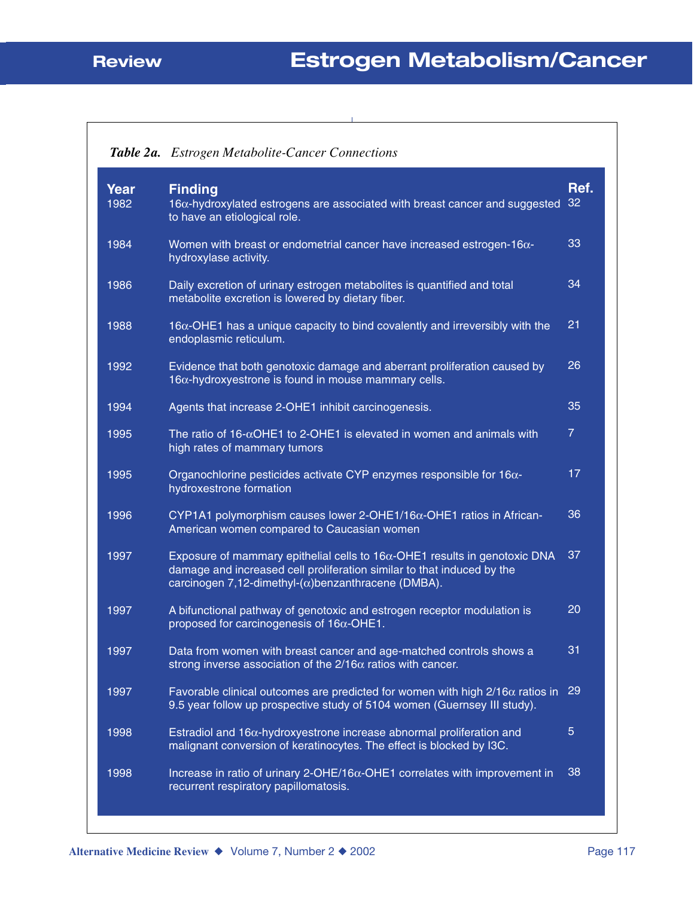|                     | <b>Table 2a.</b> Estrogen Metabolite-Cancer Connections                                                                                                                                                                    |                |
|---------------------|----------------------------------------------------------------------------------------------------------------------------------------------------------------------------------------------------------------------------|----------------|
| <b>Year</b><br>1982 | <b>Finding</b><br>16a-hydroxylated estrogens are associated with breast cancer and suggested 32<br>to have an etiological role.                                                                                            | Ref.           |
| 1984                | Women with breast or endometrial cancer have increased estrogen-16 $\alpha$ -<br>hydroxylase activity.                                                                                                                     | 33             |
| 1986                | 34<br>Daily excretion of urinary estrogen metabolites is quantified and total<br>metabolite excretion is lowered by dietary fiber.                                                                                         |                |
| 1988                | $16\alpha$ -OHE1 has a unique capacity to bind covalently and irreversibly with the<br>endoplasmic reticulum.                                                                                                              | 21             |
| 1992                | Evidence that both genotoxic damage and aberrant proliferation caused by<br>$16\alpha$ -hydroxyestrone is found in mouse mammary cells.                                                                                    | 26             |
| 1994                | Agents that increase 2-OHE1 inhibit carcinogenesis.                                                                                                                                                                        | 35             |
| 1995                | The ratio of $16-\alpha$ OHE1 to 2-OHE1 is elevated in women and animals with<br>high rates of mammary tumors                                                                                                              | $\overline{7}$ |
| 1995                | Organochlorine pesticides activate CYP enzymes responsible for 16α-<br>hydroxestrone formation                                                                                                                             | 17             |
| 1996                | CYP1A1 polymorphism causes lower 2-OHE1/16α-OHE1 ratios in African-<br>American women compared to Caucasian women                                                                                                          | 36             |
| 1997                | Exposure of mammary epithelial cells to $16\alpha$ -OHE1 results in genotoxic DNA<br>damage and increased cell proliferation similar to that induced by the<br>carcinogen 7,12-dimethyl- $(\alpha)$ benzanthracene (DMBA). |                |
| 1997                | A bifunctional pathway of genotoxic and estrogen receptor modulation is<br>proposed for carcinogenesis of $16\alpha$ -OHE1.                                                                                                | 20             |
| 1997                | Data from women with breast cancer and age-matched controls shows a<br>strong inverse association of the $2/16\alpha$ ratios with cancer.                                                                                  | 31             |
| 1997                | Favorable clinical outcomes are predicted for women with high $2/16\alpha$ ratios in 29<br>9.5 year follow up prospective study of 5104 women (Guernsey III study).                                                        |                |
| 1998                | Estradiol and $16\alpha$ -hydroxyestrone increase abnormal proliferation and<br>malignant conversion of keratinocytes. The effect is blocked by I3C.                                                                       | $\overline{5}$ |
| 1998                | Increase in ratio of urinary 2-OHE/16 $\alpha$ -OHE1 correlates with improvement in<br>recurrent respiratory papillomatosis.                                                                                               | 38             |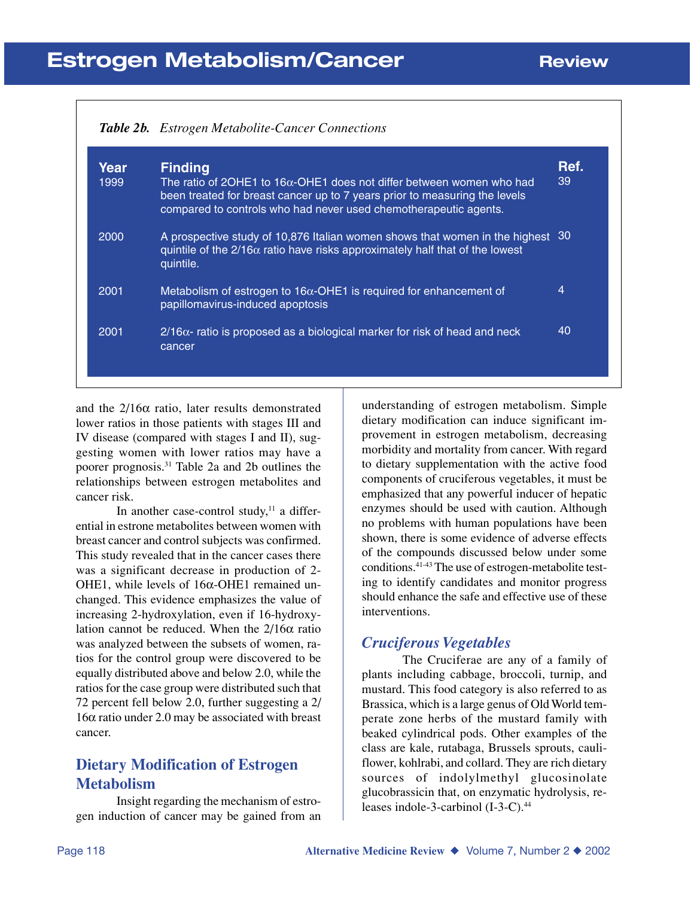|              | <b>Table 2b.</b> Estrogen Metabolite-Cancer Connections                                                                                                                                                                                           |            |
|--------------|---------------------------------------------------------------------------------------------------------------------------------------------------------------------------------------------------------------------------------------------------|------------|
| Year<br>1999 | <b>Finding</b><br>The ratio of 20HE1 to 16 $\alpha$ -OHE1 does not differ between women who had<br>been treated for breast cancer up to 7 years prior to measuring the levels<br>compared to controls who had never used chemotherapeutic agents. | Ref.<br>39 |
| 2000         | A prospective study of 10,876 Italian women shows that women in the highest 30<br>quintile of the $2/16\alpha$ ratio have risks approximately half that of the lowest<br>quintile.                                                                |            |
| 2001         | Metabolism of estrogen to $16\alpha$ -OHE1 is required for enhancement of<br>papillomavirus-induced apoptosis                                                                                                                                     | 4          |
| 2001         | $2/16\alpha$ - ratio is proposed as a biological marker for risk of head and neck<br>cancer                                                                                                                                                       | 40         |

and the  $2/16\alpha$  ratio, later results demonstrated lower ratios in those patients with stages III and IV disease (compared with stages I and II), suggesting women with lower ratios may have a poorer prognosis.31 Table 2a and 2b outlines the relationships between estrogen metabolites and cancer risk.

In another case-control study, $11$  a differential in estrone metabolites between women with breast cancer and control subjects was confirmed. This study revealed that in the cancer cases there was a significant decrease in production of 2- OHE1, while levels of 16α-OHE1 remained unchanged. This evidence emphasizes the value of increasing 2-hydroxylation, even if 16-hydroxylation cannot be reduced. When the  $2/16\alpha$  ratio was analyzed between the subsets of women, ratios for the control group were discovered to be equally distributed above and below 2.0, while the ratios for the case group were distributed such that 72 percent fell below 2.0, further suggesting a 2/ 16α ratio under 2.0 may be associated with breast cancer.

### **Dietary Modification of Estrogen Metabolism**

Insight regarding the mechanism of estrogen induction of cancer may be gained from an understanding of estrogen metabolism. Simple dietary modification can induce significant improvement in estrogen metabolism, decreasing morbidity and mortality from cancer. With regard to dietary supplementation with the active food components of cruciferous vegetables, it must be emphasized that any powerful inducer of hepatic enzymes should be used with caution. Although no problems with human populations have been shown, there is some evidence of adverse effects of the compounds discussed below under some conditions.41-43 The use of estrogen-metabolite testing to identify candidates and monitor progress should enhance the safe and effective use of these interventions.

### *Cruciferous Vegetables*

The Cruciferae are any of a family of plants including cabbage, broccoli, turnip, and mustard. This food category is also referred to as Brassica, which is a large genus of Old World temperate zone herbs of the mustard family with beaked cylindrical pods. Other examples of the class are kale, rutabaga, Brussels sprouts, cauliflower, kohlrabi, and collard. They are rich dietary sources of indolylmethyl glucosinolate glucobrassicin that, on enzymatic hydrolysis, releases indole-3-carbinol (I-3-C).<sup>44</sup>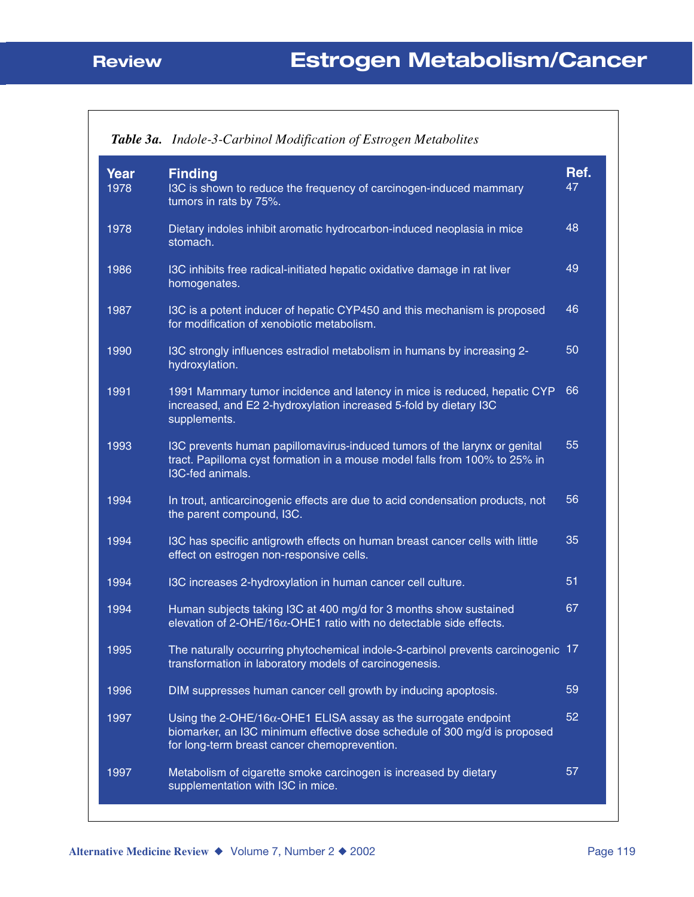|              | Table 3a. Indole-3-Carbinol Modification of Estrogen Metabolites                                                                                                                                     |            |
|--------------|------------------------------------------------------------------------------------------------------------------------------------------------------------------------------------------------------|------------|
| Year<br>1978 | <b>Finding</b><br>I3C is shown to reduce the frequency of carcinogen-induced mammary<br>tumors in rats by 75%.                                                                                       | Ref.<br>47 |
| 1978         | 48<br>Dietary indoles inhibit aromatic hydrocarbon-induced neoplasia in mice<br>stomach.                                                                                                             |            |
| 1986         | 49<br>I3C inhibits free radical-initiated hepatic oxidative damage in rat liver<br>homogenates.                                                                                                      |            |
| 1987         | I3C is a potent inducer of hepatic CYP450 and this mechanism is proposed<br>for modification of xenobiotic metabolism.                                                                               | 46         |
| 1990         | 50<br>I3C strongly influences estradiol metabolism in humans by increasing 2-<br>hydroxylation.                                                                                                      |            |
| 1991         | 1991 Mammary tumor incidence and latency in mice is reduced, hepatic CYP<br>increased, and E2 2-hydroxylation increased 5-fold by dietary I3C<br>supplements.                                        | 66         |
| 1993         | I3C prevents human papillomavirus-induced tumors of the larynx or genital<br>tract. Papilloma cyst formation in a mouse model falls from 100% to 25% in<br>I3C-fed animals.                          | 55         |
| 1994         | In trout, anticarcinogenic effects are due to acid condensation products, not<br>the parent compound, I3C.                                                                                           | 56         |
| 1994         | I3C has specific antigrowth effects on human breast cancer cells with little<br>effect on estrogen non-responsive cells.                                                                             | 35         |
| 1994         | I3C increases 2-hydroxylation in human cancer cell culture.                                                                                                                                          | 51         |
| 1994         | Human subjects taking I3C at 400 mg/d for 3 months show sustained<br>elevation of 2-OHE/16 $\alpha$ -OHE1 ratio with no detectable side effects.                                                     | 67         |
| 1995         | The naturally occurring phytochemical indole-3-carbinol prevents carcinogenic 17<br>transformation in laboratory models of carcinogenesis.                                                           |            |
| 1996         | DIM suppresses human cancer cell growth by inducing apoptosis.                                                                                                                                       | 59         |
| 1997         | Using the 2-OHE/16 $\alpha$ -OHE1 ELISA assay as the surrogate endpoint<br>biomarker, an I3C minimum effective dose schedule of 300 mg/d is proposed<br>for long-term breast cancer chemoprevention. | 52         |
| 1997         | Metabolism of cigarette smoke carcinogen is increased by dietary<br>supplementation with I3C in mice.                                                                                                | 57         |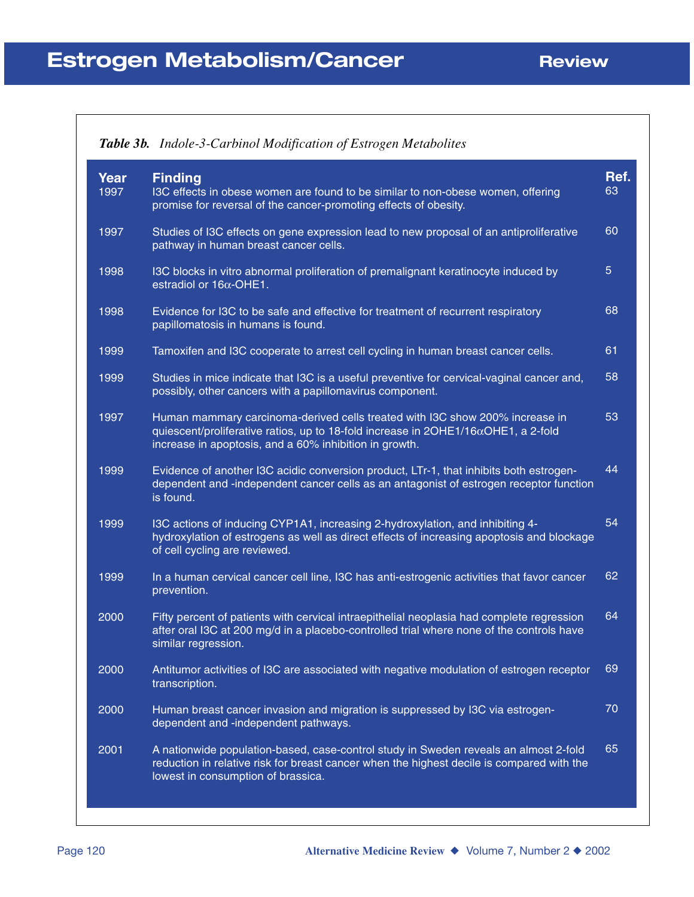|              | Table 3b. Indole-3-Carbinol Modification of Estrogen Metabolites                                                                                                                                                                    |            |
|--------------|-------------------------------------------------------------------------------------------------------------------------------------------------------------------------------------------------------------------------------------|------------|
| Year<br>1997 | <b>Finding</b><br>I3C effects in obese women are found to be similar to non-obese women, offering<br>promise for reversal of the cancer-promoting effects of obesity.                                                               | Ref.<br>63 |
| 1997         | Studies of I3C effects on gene expression lead to new proposal of an antiproliferative<br>pathway in human breast cancer cells.                                                                                                     | 60         |
| 1998         | I3C blocks in vitro abnormal proliferation of premalignant keratinocyte induced by<br>estradiol or $16\alpha$ -OHE1.                                                                                                                | 5          |
| 1998         | Evidence for I3C to be safe and effective for treatment of recurrent respiratory<br>papillomatosis in humans is found.                                                                                                              | 68         |
| 1999         | Tamoxifen and I3C cooperate to arrest cell cycling in human breast cancer cells.                                                                                                                                                    | 61         |
| 1999         | Studies in mice indicate that I3C is a useful preventive for cervical-vaginal cancer and,<br>possibly, other cancers with a papillomavirus component.                                                                               | 58         |
| 1997         | Human mammary carcinoma-derived cells treated with I3C show 200% increase in<br>quiescent/proliferative ratios, up to 18-fold increase in $2OHE1/16\alphaOHE1$ , a 2-fold<br>increase in apoptosis, and a 60% inhibition in growth. | 53         |
| 1999         | Evidence of another I3C acidic conversion product, LTr-1, that inhibits both estrogen-<br>dependent and -independent cancer cells as an antagonist of estrogen receptor function<br>is found.                                       | 44         |
| 1999         | I3C actions of inducing CYP1A1, increasing 2-hydroxylation, and inhibiting 4-<br>hydroxylation of estrogens as well as direct effects of increasing apoptosis and blockage<br>of cell cycling are reviewed.                         | 54         |
| 1999         | In a human cervical cancer cell line, I3C has anti-estrogenic activities that favor cancer<br>prevention.                                                                                                                           | 62         |
| 2000         | Fifty percent of patients with cervical intraepithelial neoplasia had complete regression<br>after oral I3C at 200 mg/d in a placebo-controlled trial where none of the controls have<br>similar regression.                        | 64         |
| 2000         | Antitumor activities of I3C are associated with negative modulation of estrogen receptor<br>transcription.                                                                                                                          | 69         |
| 2000         | Human breast cancer invasion and migration is suppressed by I3C via estrogen-<br>dependent and -independent pathways.                                                                                                               | 70         |
| 2001         | A nationwide population-based, case-control study in Sweden reveals an almost 2-fold<br>reduction in relative risk for breast cancer when the highest decile is compared with the<br>lowest in consumption of brassica.             | 65         |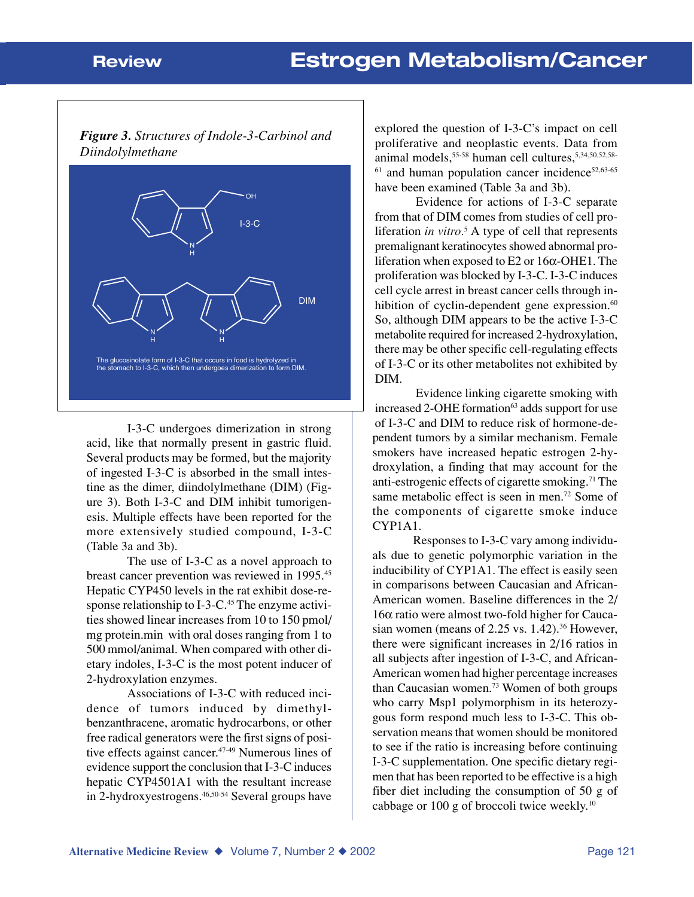#### *Figure 3. Structures of Indole-3-Carbinol and Diindolylmethane*



I-3-C undergoes dimerization in strong acid, like that normally present in gastric fluid. Several products may be formed, but the majority of ingested I-3-C is absorbed in the small intestine as the dimer, diindolylmethane (DIM) (Figure 3). Both I-3-C and DIM inhibit tumorigenesis. Multiple effects have been reported for the more extensively studied compound, I-3-C (Table 3a and 3b).

The use of I-3-C as a novel approach to breast cancer prevention was reviewed in 1995.45 Hepatic CYP450 levels in the rat exhibit dose-response relationship to I-3-C.45 The enzyme activities showed linear increases from 10 to 150 pmol/ mg protein.min with oral doses ranging from 1 to 500 mmol/animal. When compared with other dietary indoles, I-3-C is the most potent inducer of 2-hydroxylation enzymes.

Associations of I-3-C with reduced incidence of tumors induced by dimethylbenzanthracene, aromatic hydrocarbons, or other free radical generators were the first signs of positive effects against cancer.47-49 Numerous lines of evidence support the conclusion that I-3-C induces hepatic CYP4501A1 with the resultant increase in 2-hydroxyestrogens.<sup>46,50-54</sup> Several groups have

explored the question of I-3-C's impact on cell proliferative and neoplastic events. Data from animal models,55-58 human cell cultures,5,34,50,52,58-  $61$  and human population cancer incidence<sup>52,63-65</sup> have been examined (Table 3a and 3b).

Evidence for actions of I-3-C separate from that of DIM comes from studies of cell proliferation *in vitro*.<sup>5</sup> A type of cell that represents premalignant keratinocytes showed abnormal proliferation when exposed to E2 or 16α-OHE1. The proliferation was blocked by I-3-C. I-3-C induces cell cycle arrest in breast cancer cells through inhibition of cyclin-dependent gene expression. $60$ So, although DIM appears to be the active I-3-C metabolite required for increased 2-hydroxylation, there may be other specific cell-regulating effects of I-3-C or its other metabolites not exhibited by DIM.

Evidence linking cigarette smoking with increased 2-OHE formation $63$  adds support for use of I-3-C and DIM to reduce risk of hormone-dependent tumors by a similar mechanism. Female smokers have increased hepatic estrogen 2-hydroxylation, a finding that may account for the anti-estrogenic effects of cigarette smoking.71 The same metabolic effect is seen in men.<sup>72</sup> Some of the components of cigarette smoke induce CYP1A1.

Responses to I-3-C vary among individuals due to genetic polymorphic variation in the inducibility of CYP1A1. The effect is easily seen in comparisons between Caucasian and African-American women. Baseline differences in the 2/ 16α ratio were almost two-fold higher for Caucasian women (means of  $2.25$  vs.  $1.42$ ).<sup>36</sup> However, there were significant increases in 2/16 ratios in all subjects after ingestion of I-3-C, and African-American women had higher percentage increases than Caucasian women.73 Women of both groups who carry Msp1 polymorphism in its heterozygous form respond much less to I-3-C. This observation means that women should be monitored to see if the ratio is increasing before continuing I-3-C supplementation. One specific dietary regimen that has been reported to be effective is a high fiber diet including the consumption of 50 g of cabbage or 100 g of broccoli twice weekly.10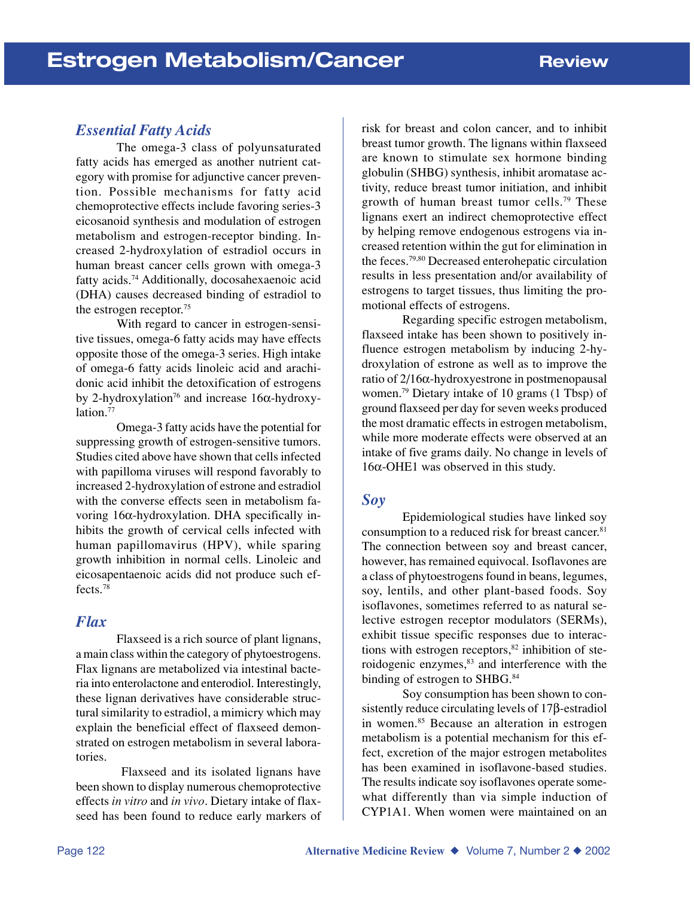### *Essential Fatty Acids*

The omega-3 class of polyunsaturated fatty acids has emerged as another nutrient category with promise for adjunctive cancer prevention. Possible mechanisms for fatty acid chemoprotective effects include favoring series-3 eicosanoid synthesis and modulation of estrogen metabolism and estrogen-receptor binding. Increased 2-hydroxylation of estradiol occurs in human breast cancer cells grown with omega-3 fatty acids.74 Additionally, docosahexaenoic acid (DHA) causes decreased binding of estradiol to the estrogen receptor.75

With regard to cancer in estrogen-sensitive tissues, omega-6 fatty acids may have effects opposite those of the omega-3 series. High intake of omega-6 fatty acids linoleic acid and arachidonic acid inhibit the detoxification of estrogens by 2-hydroxylation<sup>76</sup> and increase 16 $\alpha$ -hydroxylation.<sup>77</sup>

Omega-3 fatty acids have the potential for suppressing growth of estrogen-sensitive tumors. Studies cited above have shown that cells infected with papilloma viruses will respond favorably to increased 2-hydroxylation of estrone and estradiol with the converse effects seen in metabolism favoring 16α-hydroxylation. DHA specifically inhibits the growth of cervical cells infected with human papillomavirus (HPV), while sparing growth inhibition in normal cells. Linoleic and eicosapentaenoic acids did not produce such effects.78

### *Flax*

Flaxseed is a rich source of plant lignans, a main class within the category of phytoestrogens. Flax lignans are metabolized via intestinal bacteria into enterolactone and enterodiol. Interestingly, these lignan derivatives have considerable structural similarity to estradiol, a mimicry which may explain the beneficial effect of flaxseed demonstrated on estrogen metabolism in several laboratories.

 Flaxseed and its isolated lignans have been shown to display numerous chemoprotective effects *in vitro* and *in vivo*. Dietary intake of flaxseed has been found to reduce early markers of risk for breast and colon cancer, and to inhibit breast tumor growth. The lignans within flaxseed are known to stimulate sex hormone binding globulin (SHBG) synthesis, inhibit aromatase activity, reduce breast tumor initiation, and inhibit growth of human breast tumor cells.79 These lignans exert an indirect chemoprotective effect by helping remove endogenous estrogens via increased retention within the gut for elimination in the feces.79,80 Decreased enterohepatic circulation results in less presentation and/or availability of estrogens to target tissues, thus limiting the promotional effects of estrogens.

Regarding specific estrogen metabolism, flaxseed intake has been shown to positively influence estrogen metabolism by inducing 2-hydroxylation of estrone as well as to improve the ratio of 2/16α-hydroxyestrone in postmenopausal women.79 Dietary intake of 10 grams (1 Tbsp) of ground flaxseed per day for seven weeks produced the most dramatic effects in estrogen metabolism, while more moderate effects were observed at an intake of five grams daily. No change in levels of 16α-OHE1 was observed in this study.

### *Soy*

Epidemiological studies have linked soy consumption to a reduced risk for breast cancer.<sup>81</sup> The connection between soy and breast cancer, however, has remained equivocal. Isoflavones are a class of phytoestrogens found in beans, legumes, soy, lentils, and other plant-based foods. Soy isoflavones, sometimes referred to as natural selective estrogen receptor modulators (SERMs), exhibit tissue specific responses due to interactions with estrogen receptors, $82$  inhibition of steroidogenic enzymes,<sup>83</sup> and interference with the binding of estrogen to SHBG.<sup>84</sup>

Soy consumption has been shown to consistently reduce circulating levels of 17β-estradiol in women.85 Because an alteration in estrogen metabolism is a potential mechanism for this effect, excretion of the major estrogen metabolites has been examined in isoflavone-based studies. The results indicate soy isoflavones operate somewhat differently than via simple induction of CYP1A1. When women were maintained on an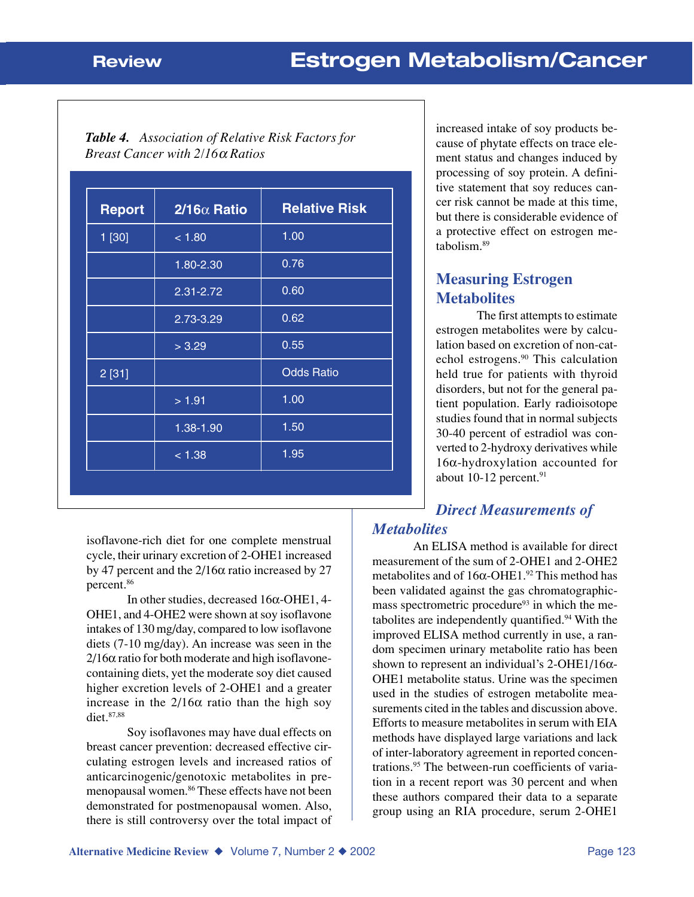| <b>Table 4.</b> Association of Relative Risk Factors for |
|----------------------------------------------------------|
| <i>Breast Cancer with <math>2/16\alpha</math> Ratios</i> |

| <b>Report</b> | $2/16\alpha$ Ratio | <b>Relative Risk</b> |
|---------------|--------------------|----------------------|
| 1 [30]        | < 1.80             | 1.00                 |
|               | 1.80-2.30          | 0.76                 |
|               | 2.31-2.72          | 0.60                 |
|               | 2.73-3.29          | 0.62                 |
|               | > 3.29             | 0.55                 |
| 2[31]         |                    | <b>Odds Ratio</b>    |
|               | > 1.91             | 1.00                 |
|               | 1.38-1.90          | 1.50                 |
|               | < 1.38             | 1.95                 |

isoflavone-rich diet for one complete menstrual cycle, their urinary excretion of 2-OHE1 increased by 47 percent and the  $2/16\alpha$  ratio increased by 27 percent.86

In other studies, decreased 16α-OHE1, 4- OHE1, and 4-OHE2 were shown at soy isoflavone intakes of 130 mg/day, compared to low isoflavone diets (7-10 mg/day). An increase was seen in the  $2/16\alpha$  ratio for both moderate and high isoflavonecontaining diets, yet the moderate soy diet caused higher excretion levels of 2-OHE1 and a greater increase in the  $2/16\alpha$  ratio than the high soy diet.87,88

Soy isoflavones may have dual effects on breast cancer prevention: decreased effective circulating estrogen levels and increased ratios of anticarcinogenic/genotoxic metabolites in premenopausal women.<sup>86</sup> These effects have not been demonstrated for postmenopausal women. Also, there is still controversy over the total impact of

increased intake of soy products because of phytate effects on trace element status and changes induced by processing of soy protein. A definitive statement that soy reduces cancer risk cannot be made at this time, but there is considerable evidence of a protective effect on estrogen metabolism.89

## **Measuring Estrogen Metabolites**

The first attempts to estimate estrogen metabolites were by calculation based on excretion of non-catechol estrogens.90 This calculation held true for patients with thyroid disorders, but not for the general patient population. Early radioisotope studies found that in normal subjects 30-40 percent of estradiol was converted to 2-hydroxy derivatives while 16α-hydroxylation accounted for about 10-12 percent.<sup>91</sup>

# *Direct Measurements of*

## *Metabolites*

An ELISA method is available for direct measurement of the sum of 2-OHE1 and 2-OHE2 metabolites and of  $16\alpha$ -OHE1.<sup>92</sup> This method has been validated against the gas chromatographicmass spectrometric procedure<sup>93</sup> in which the metabolites are independently quantified.<sup>94</sup> With the improved ELISA method currently in use, a random specimen urinary metabolite ratio has been shown to represent an individual's  $2$ -OHE1/16 $\alpha$ -OHE1 metabolite status. Urine was the specimen used in the studies of estrogen metabolite measurements cited in the tables and discussion above. Efforts to measure metabolites in serum with EIA methods have displayed large variations and lack of inter-laboratory agreement in reported concentrations.95 The between-run coefficients of variation in a recent report was 30 percent and when these authors compared their data to a separate group using an RIA procedure, serum 2-OHE1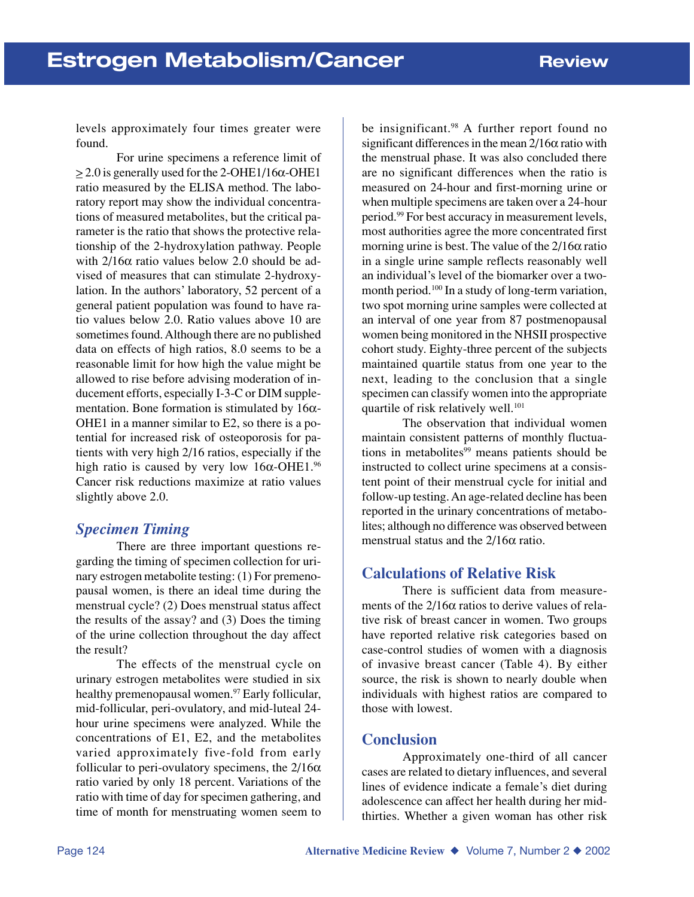levels approximately four times greater were found.

For urine specimens a reference limit of  $> 2.0$  is generally used for the 2-OHE1/16 $\alpha$ -OHE1 ratio measured by the ELISA method. The laboratory report may show the individual concentrations of measured metabolites, but the critical parameter is the ratio that shows the protective relationship of the 2-hydroxylation pathway. People with  $2/16\alpha$  ratio values below 2.0 should be advised of measures that can stimulate 2-hydroxylation. In the authors' laboratory, 52 percent of a general patient population was found to have ratio values below 2.0. Ratio values above 10 are sometimes found. Although there are no published data on effects of high ratios, 8.0 seems to be a reasonable limit for how high the value might be allowed to rise before advising moderation of inducement efforts, especially I-3-C or DIM supplementation. Bone formation is stimulated by  $16\alpha$ -OHE1 in a manner similar to E2, so there is a potential for increased risk of osteoporosis for patients with very high 2/16 ratios, especially if the high ratio is caused by very low  $16\alpha$ -OHE1.<sup>96</sup> Cancer risk reductions maximize at ratio values slightly above 2.0.

### *Specimen Timing*

There are three important questions regarding the timing of specimen collection for urinary estrogen metabolite testing: (1) For premenopausal women, is there an ideal time during the menstrual cycle? (2) Does menstrual status affect the results of the assay? and (3) Does the timing of the urine collection throughout the day affect the result?

The effects of the menstrual cycle on urinary estrogen metabolites were studied in six healthy premenopausal women.<sup>97</sup> Early follicular, mid-follicular, peri-ovulatory, and mid-luteal 24 hour urine specimens were analyzed. While the concentrations of E1, E2, and the metabolites varied approximately five-fold from early follicular to peri-ovulatory specimens, the  $2/16\alpha$ ratio varied by only 18 percent. Variations of the ratio with time of day for specimen gathering, and time of month for menstruating women seem to be insignificant.<sup>98</sup> A further report found no significant differences in the mean  $2/16\alpha$  ratio with the menstrual phase. It was also concluded there are no significant differences when the ratio is measured on 24-hour and first-morning urine or when multiple specimens are taken over a 24-hour period.99 For best accuracy in measurement levels, most authorities agree the more concentrated first morning urine is best. The value of the  $2/16\alpha$  ratio in a single urine sample reflects reasonably well an individual's level of the biomarker over a twomonth period.<sup>100</sup> In a study of long-term variation, two spot morning urine samples were collected at an interval of one year from 87 postmenopausal women being monitored in the NHSII prospective cohort study. Eighty-three percent of the subjects maintained quartile status from one year to the next, leading to the conclusion that a single specimen can classify women into the appropriate quartile of risk relatively well.<sup>101</sup>

The observation that individual women maintain consistent patterns of monthly fluctuations in metabolites $99$  means patients should be instructed to collect urine specimens at a consistent point of their menstrual cycle for initial and follow-up testing. An age-related decline has been reported in the urinary concentrations of metabolites; although no difference was observed between menstrual status and the  $2/16\alpha$  ratio.

### **Calculations of Relative Risk**

There is sufficient data from measurements of the  $2/16\alpha$  ratios to derive values of relative risk of breast cancer in women. Two groups have reported relative risk categories based on case-control studies of women with a diagnosis of invasive breast cancer (Table 4). By either source, the risk is shown to nearly double when individuals with highest ratios are compared to those with lowest.

### **Conclusion**

Approximately one-third of all cancer cases are related to dietary influences, and several lines of evidence indicate a female's diet during adolescence can affect her health during her midthirties. Whether a given woman has other risk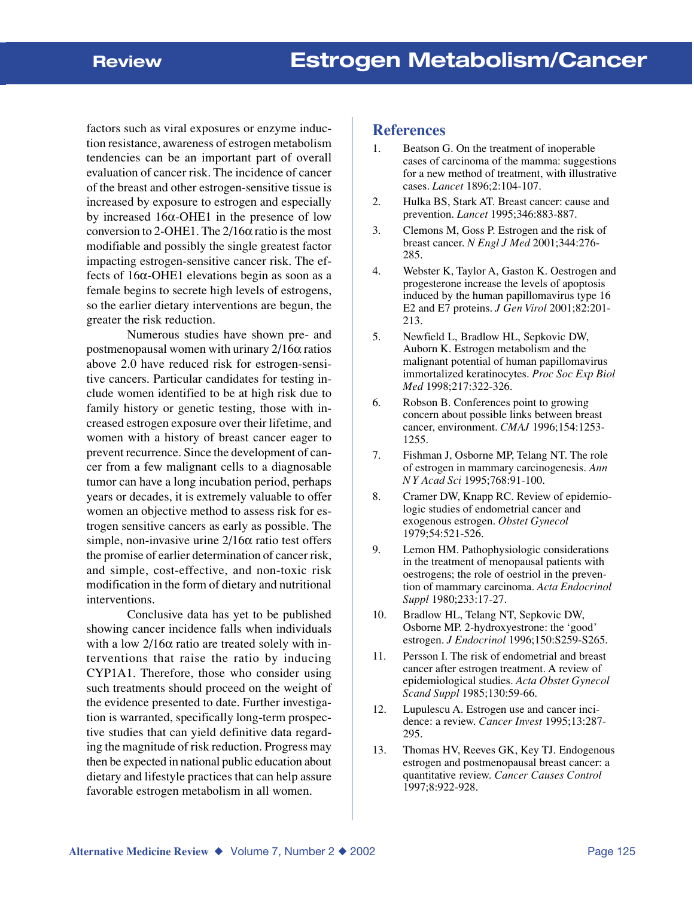factors such as viral exposures or enzyme induction resistance, awareness of estrogen metabolism tendencies can be an important part of overall evaluation of cancer risk. The incidence of cancer of the breast and other estrogen-sensitive tissue is increased by exposure to estrogen and especially by increased 16α-OHE1 in the presence of low conversion to 2-OHE1. The  $2/16\alpha$  ratio is the most modifiable and possibly the single greatest factor impacting estrogen-sensitive cancer risk. The effects of 16α-OHE1 elevations begin as soon as a female begins to secrete high levels of estrogens, so the earlier dietary interventions are begun, the greater the risk reduction.

Numerous studies have shown pre- and postmenopausal women with urinary 2/16α ratios above 2.0 have reduced risk for estrogen-sensitive cancers. Particular candidates for testing include women identified to be at high risk due to family history or genetic testing, those with increased estrogen exposure over their lifetime, and women with a history of breast cancer eager to prevent recurrence. Since the development of cancer from a few malignant cells to a diagnosable tumor can have a long incubation period, perhaps years or decades, it is extremely valuable to offer women an objective method to assess risk for estrogen sensitive cancers as early as possible. The simple, non-invasive urine  $2/16\alpha$  ratio test offers the promise of earlier determination of cancer risk, and simple, cost-effective, and non-toxic risk modification in the form of dietary and nutritional interventions.

Conclusive data has yet to be published showing cancer incidence falls when individuals with a low  $2/16\alpha$  ratio are treated solely with interventions that raise the ratio by inducing CYP1A1. Therefore, those who consider using such treatments should proceed on the weight of the evidence presented to date. Further investigation is warranted, specifically long-term prospective studies that can yield definitive data regarding the magnitude of risk reduction. Progress may then be expected in national public education about dietary and lifestyle practices that can help assure favorable estrogen metabolism in all women.

#### **References**

- 1. Beatson G. On the treatment of inoperable cases of carcinoma of the mamma: suggestions for a new method of treatment, with illustrative cases. *Lancet* 1896;2:104-107.
- 2. Hulka BS, Stark AT. Breast cancer: cause and prevention. *Lancet* 1995;346:883-887.
- 3. Clemons M, Goss P. Estrogen and the risk of breast cancer. *N Engl J Med* 2001;344:276- 285.
- 4. Webster K, Taylor A, Gaston K. Oestrogen and progesterone increase the levels of apoptosis induced by the human papillomavirus type 16 E2 and E7 proteins. *J Gen Virol* 2001;82:201- 213.
- 5. Newfield L, Bradlow HL, Sepkovic DW, Auborn K. Estrogen metabolism and the malignant potential of human papillomavirus immortalized keratinocytes. *Proc Soc Exp Biol Med* 1998;217:322-326.
- 6. Robson B. Conferences point to growing concern about possible links between breast cancer, environment. *CMAJ* 1996;154:1253- 1255.
- 7. Fishman J, Osborne MP, Telang NT. The role of estrogen in mammary carcinogenesis. *Ann N Y Acad Sci* 1995;768:91-100.
- 8. Cramer DW, Knapp RC. Review of epidemiologic studies of endometrial cancer and exogenous estrogen. *Obstet Gynecol* 1979;54:521-526.
- 9. Lemon HM. Pathophysiologic considerations in the treatment of menopausal patients with oestrogens; the role of oestriol in the prevention of mammary carcinoma. *Acta Endocrinol Suppl* 1980;233:17-27.
- 10. Bradlow HL, Telang NT, Sepkovic DW, Osborne MP. 2-hydroxyestrone: the 'good' estrogen. *J Endocrinol* 1996;150:S259-S265.
- 11. Persson I. The risk of endometrial and breast cancer after estrogen treatment. A review of epidemiological studies. *Acta Obstet Gynecol Scand Suppl* 1985;130:59-66.
- 12. Lupulescu A. Estrogen use and cancer incidence: a review. *Cancer Invest* 1995;13:287- 295.
- 13. Thomas HV, Reeves GK, Key TJ. Endogenous estrogen and postmenopausal breast cancer: a quantitative review. *Cancer Causes Control* 1997;8:922-928.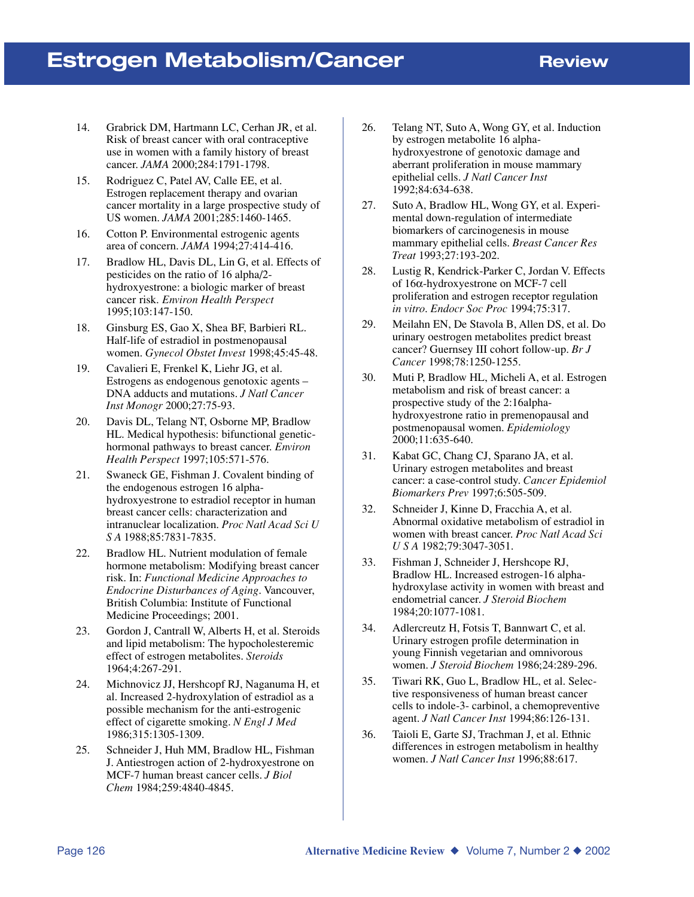## **Estrogen Metabolism/Cancer Review**

- 14. Grabrick DM, Hartmann LC, Cerhan JR, et al. Risk of breast cancer with oral contraceptive use in women with a family history of breast cancer. *JAMA* 2000;284:1791-1798.
- 15. Rodriguez C, Patel AV, Calle EE, et al. Estrogen replacement therapy and ovarian cancer mortality in a large prospective study of US women. *JAMA* 2001;285:1460-1465.
- 16. Cotton P. Environmental estrogenic agents area of concern. *JAMA* 1994;27:414-416.
- 17. Bradlow HL, Davis DL, Lin G, et al. Effects of pesticides on the ratio of 16 alpha/2 hydroxyestrone: a biologic marker of breast cancer risk. *Environ Health Perspect* 1995;103:147-150.
- 18. Ginsburg ES, Gao X, Shea BF, Barbieri RL. Half-life of estradiol in postmenopausal women. *Gynecol Obstet Invest* 1998;45:45-48.
- 19. Cavalieri E, Frenkel K, Liehr JG, et al. Estrogens as endogenous genotoxic agents – DNA adducts and mutations. *J Natl Cancer Inst Monogr* 2000;27:75-93.
- 20. Davis DL, Telang NT, Osborne MP, Bradlow HL. Medical hypothesis: bifunctional genetichormonal pathways to breast cancer. *Environ Health Perspect* 1997;105:571-576.
- 21. Swaneck GE, Fishman J. Covalent binding of the endogenous estrogen 16 alphahydroxyestrone to estradiol receptor in human breast cancer cells: characterization and intranuclear localization. *Proc Natl Acad Sci U S A* 1988;85:7831-7835.
- 22. Bradlow HL. Nutrient modulation of female hormone metabolism: Modifying breast cancer risk. In: *Functional Medicine Approaches to Endocrine Disturbances of Aging*. Vancouver, British Columbia: Institute of Functional Medicine Proceedings; 2001.
- 23. Gordon J, Cantrall W, Alberts H, et al. Steroids and lipid metabolism: The hypocholesteremic effect of estrogen metabolites. *Steroids* 1964;4:267-291.
- 24. Michnovicz JJ, Hershcopf RJ, Naganuma H, et al. Increased 2-hydroxylation of estradiol as a possible mechanism for the anti-estrogenic effect of cigarette smoking. *N Engl J Med* 1986;315:1305-1309.
- 25. Schneider J, Huh MM, Bradlow HL, Fishman J. Antiestrogen action of 2-hydroxyestrone on MCF-7 human breast cancer cells. *J Biol Chem* 1984;259:4840-4845.
- 26. Telang NT, Suto A, Wong GY, et al. Induction by estrogen metabolite 16 alphahydroxyestrone of genotoxic damage and aberrant proliferation in mouse mammary epithelial cells. *J Natl Cancer Inst* 1992;84:634-638.
- 27. Suto A, Bradlow HL, Wong GY, et al. Experimental down-regulation of intermediate biomarkers of carcinogenesis in mouse mammary epithelial cells. *Breast Cancer Res Treat* 1993;27:193-202.
- 28. Lustig R, Kendrick-Parker C, Jordan V. Effects of 16α-hydroxyestrone on MCF-7 cell proliferation and estrogen receptor regulation *in vitro*. *Endocr Soc Proc* 1994;75:317.
- 29. Meilahn EN, De Stavola B, Allen DS, et al. Do urinary oestrogen metabolites predict breast cancer? Guernsey III cohort follow-up. *Br J Cancer* 1998;78:1250-1255.
- 30. Muti P, Bradlow HL, Micheli A, et al. Estrogen metabolism and risk of breast cancer: a prospective study of the 2:16alphahydroxyestrone ratio in premenopausal and postmenopausal women. *Epidemiology* 2000;11:635-640.
- 31. Kabat GC, Chang CJ, Sparano JA, et al. Urinary estrogen metabolites and breast cancer: a case-control study. *Cancer Epidemiol Biomarkers Prev* 1997;6:505-509.
- 32. Schneider J, Kinne D, Fracchia A, et al. Abnormal oxidative metabolism of estradiol in women with breast cancer. *Proc Natl Acad Sci U S A* 1982;79:3047-3051.
- 33. Fishman J, Schneider J, Hershcope RJ, Bradlow HL. Increased estrogen-16 alphahydroxylase activity in women with breast and endometrial cancer. *J Steroid Biochem* 1984;20:1077-1081.
- 34. Adlercreutz H, Fotsis T, Bannwart C, et al. Urinary estrogen profile determination in young Finnish vegetarian and omnivorous women. *J Steroid Biochem* 1986;24:289-296.
- 35. Tiwari RK, Guo L, Bradlow HL, et al. Selective responsiveness of human breast cancer cells to indole-3- carbinol, a chemopreventive agent. *J Natl Cancer Inst* 1994;86:126-131.
- 36. Taioli E, Garte SJ, Trachman J, et al. Ethnic differences in estrogen metabolism in healthy women. *J Natl Cancer Inst* 1996;88:617.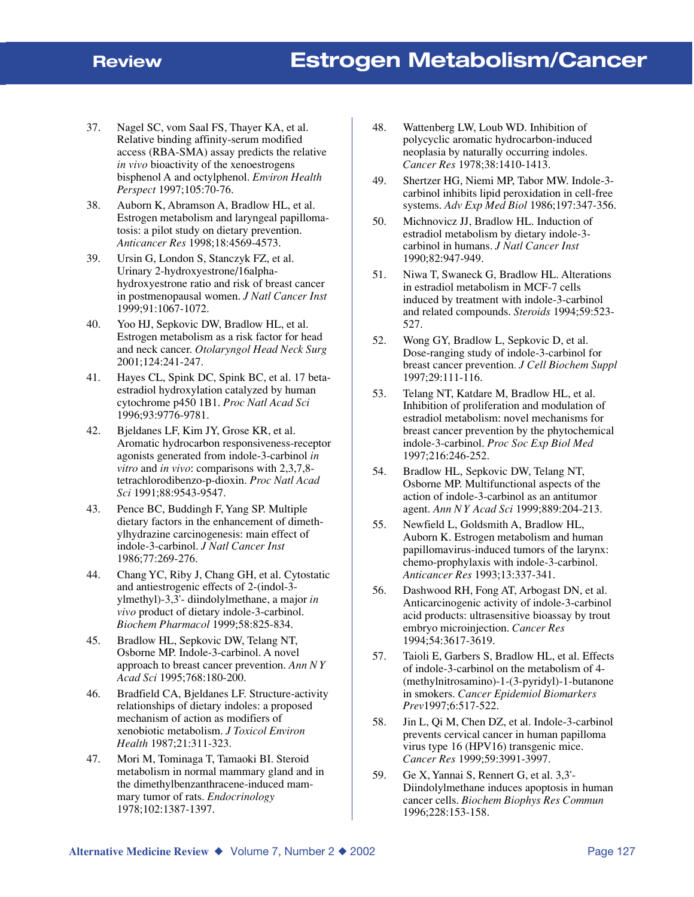- 37. Nagel SC, vom Saal FS, Thayer KA, et al. Relative binding affinity-serum modified access (RBA-SMA) assay predicts the relative *in vivo* bioactivity of the xenoestrogens bisphenol A and octylphenol. *Environ Health Perspect* 1997;105:70-76.
- 38. Auborn K, Abramson A, Bradlow HL, et al. Estrogen metabolism and laryngeal papillomatosis: a pilot study on dietary prevention. *Anticancer Res* 1998;18:4569-4573.
- 39. Ursin G, London S, Stanczyk FZ, et al. Urinary 2-hydroxyestrone/16alphahydroxyestrone ratio and risk of breast cancer in postmenopausal women. *J Natl Cancer Inst* 1999;91:1067-1072.
- 40. Yoo HJ, Sepkovic DW, Bradlow HL, et al. Estrogen metabolism as a risk factor for head and neck cancer. *Otolaryngol Head Neck Surg* 2001;124:241-247.
- 41. Hayes CL, Spink DC, Spink BC, et al. 17 betaestradiol hydroxylation catalyzed by human cytochrome p450 1B1. *Proc Natl Acad Sci* 1996;93:9776-9781.
- 42. Bjeldanes LF, Kim JY, Grose KR, et al. Aromatic hydrocarbon responsiveness-receptor agonists generated from indole-3-carbinol *in vitro* and *in vivo*: comparisons with 2,3,7,8 tetrachlorodibenzo-p-dioxin. *Proc Natl Acad Sci* 1991;88:9543-9547.
- 43. Pence BC, Buddingh F, Yang SP. Multiple dietary factors in the enhancement of dimethylhydrazine carcinogenesis: main effect of indole-3-carbinol. *J Natl Cancer Inst* 1986;77:269-276.
- 44. Chang YC, Riby J, Chang GH, et al. Cytostatic and antiestrogenic effects of 2-(indol-3 ylmethyl)-3,3'- diindolylmethane, a major *in vivo* product of dietary indole-3-carbinol. *Biochem Pharmacol* 1999;58:825-834.
- 45. Bradlow HL, Sepkovic DW, Telang NT, Osborne MP. Indole-3-carbinol. A novel approach to breast cancer prevention. *Ann N Y Acad Sci* 1995;768:180-200.
- 46. Bradfield CA, Bjeldanes LF. Structure-activity relationships of dietary indoles: a proposed mechanism of action as modifiers of xenobiotic metabolism. *J Toxicol Environ Health* 1987;21:311-323.
- 47. Mori M, Tominaga T, Tamaoki BI. Steroid metabolism in normal mammary gland and in the dimethylbenzanthracene-induced mammary tumor of rats. *Endocrinology* 1978;102:1387-1397.
- 48. Wattenberg LW, Loub WD. Inhibition of polycyclic aromatic hydrocarbon-induced neoplasia by naturally occurring indoles. *Cancer Res* 1978;38:1410-1413.
- 49. Shertzer HG, Niemi MP, Tabor MW. Indole-3 carbinol inhibits lipid peroxidation in cell-free systems. *Adv Exp Med Biol* 1986;197:347-356.
- 50. Michnovicz JJ, Bradlow HL. Induction of estradiol metabolism by dietary indole-3 carbinol in humans. *J Natl Cancer Inst* 1990;82:947-949.
- 51. Niwa T, Swaneck G, Bradlow HL. Alterations in estradiol metabolism in MCF-7 cells induced by treatment with indole-3-carbinol and related compounds. *Steroids* 1994;59:523- 527.
- 52. Wong GY, Bradlow L, Sepkovic D, et al. Dose-ranging study of indole-3-carbinol for breast cancer prevention*. J Cell Biochem Suppl* 1997;29:111-116.
- 53. Telang NT, Katdare M, Bradlow HL, et al. Inhibition of proliferation and modulation of estradiol metabolism: novel mechanisms for breast cancer prevention by the phytochemical indole-3-carbinol. *Proc Soc Exp Biol Med* 1997;216:246-252.
- 54. Bradlow HL, Sepkovic DW, Telang NT, Osborne MP. Multifunctional aspects of the action of indole-3-carbinol as an antitumor agent. *Ann N Y Acad Sci* 1999;889:204-213.
- 55. Newfield L, Goldsmith A, Bradlow HL, Auborn K. Estrogen metabolism and human papillomavirus-induced tumors of the larynx: chemo-prophylaxis with indole-3-carbinol. *Anticancer Res* 1993;13:337-341.
- 56. Dashwood RH, Fong AT, Arbogast DN, et al. Anticarcinogenic activity of indole-3-carbinol acid products: ultrasensitive bioassay by trout embryo microinjection. *Cancer Res* 1994;54:3617-3619.
- 57. Taioli E, Garbers S, Bradlow HL, et al. Effects of indole-3-carbinol on the metabolism of 4- (methylnitrosamino)-1-(3-pyridyl)-1-butanone in smokers. *Cancer Epidemiol Biomarkers Prev*1997;6:517-522.
- 58. Jin L, Qi M, Chen DZ, et al. Indole-3-carbinol prevents cervical cancer in human papilloma virus type 16 (HPV16) transgenic mice. *Cancer Res* 1999;59:3991-3997.
- 59. Ge X, Yannai S, Rennert G, et al. 3,3'- Diindolylmethane induces apoptosis in human cancer cells. *Biochem Biophys Res Commun* 1996;228:153-158.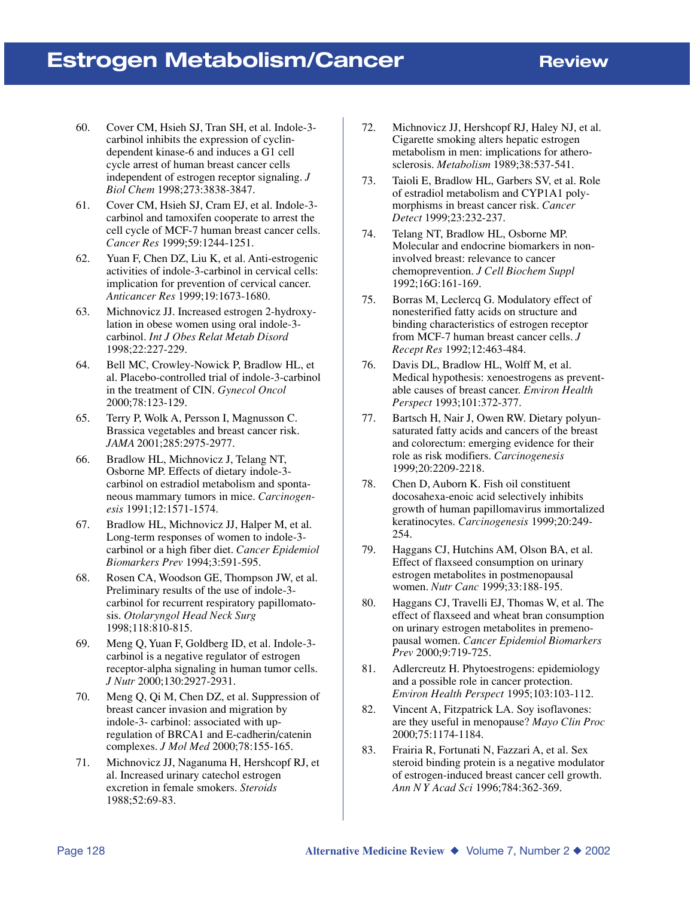- 60. Cover CM, Hsieh SJ, Tran SH, et al. Indole-3 carbinol inhibits the expression of cyclindependent kinase-6 and induces a G1 cell cycle arrest of human breast cancer cells independent of estrogen receptor signaling. *J Biol Chem* 1998;273:3838-3847.
- 61. Cover CM, Hsieh SJ, Cram EJ, et al. Indole-3 carbinol and tamoxifen cooperate to arrest the cell cycle of MCF-7 human breast cancer cells. *Cancer Res* 1999;59:1244-1251.
- 62. Yuan F, Chen DZ, Liu K, et al. Anti-estrogenic activities of indole-3-carbinol in cervical cells: implication for prevention of cervical cancer. *Anticancer Res* 1999;19:1673-1680.
- 63. Michnovicz JJ. Increased estrogen 2-hydroxylation in obese women using oral indole-3 carbinol. *Int J Obes Relat Metab Disord* 1998;22:227-229.
- 64. Bell MC, Crowley-Nowick P, Bradlow HL, et al. Placebo-controlled trial of indole-3-carbinol in the treatment of CIN. *Gynecol Oncol* 2000;78:123-129.
- 65. Terry P, Wolk A, Persson I, Magnusson C. Brassica vegetables and breast cancer risk. *JAMA* 2001;285:2975-2977.
- 66. Bradlow HL, Michnovicz J, Telang NT, Osborne MP. Effects of dietary indole-3 carbinol on estradiol metabolism and spontaneous mammary tumors in mice. *Carcinogenesis* 1991;12:1571-1574.
- 67. Bradlow HL, Michnovicz JJ, Halper M, et al. Long-term responses of women to indole-3 carbinol or a high fiber diet. *Cancer Epidemiol Biomarkers Prev* 1994;3:591-595.
- 68. Rosen CA, Woodson GE, Thompson JW, et al. Preliminary results of the use of indole-3 carbinol for recurrent respiratory papillomatosis. *Otolaryngol Head Neck Surg* 1998;118:810-815.
- 69. Meng Q, Yuan F, Goldberg ID, et al. Indole-3 carbinol is a negative regulator of estrogen receptor-alpha signaling in human tumor cells. *J Nutr* 2000;130:2927-2931.
- 70. Meng Q, Qi M, Chen DZ, et al. Suppression of breast cancer invasion and migration by indole-3- carbinol: associated with upregulation of BRCA1 and E-cadherin/catenin complexes. *J Mol Med* 2000;78:155-165.
- 71. Michnovicz JJ, Naganuma H, Hershcopf RJ, et al. Increased urinary catechol estrogen excretion in female smokers. *Steroids* 1988;52:69-83.
- 72. Michnovicz JJ, Hershcopf RJ, Haley NJ, et al. Cigarette smoking alters hepatic estrogen metabolism in men: implications for atherosclerosis. *Metabolism* 1989;38:537-541.
- 73. Taioli E, Bradlow HL, Garbers SV, et al. Role of estradiol metabolism and CYP1A1 polymorphisms in breast cancer risk. *Cancer Detect* 1999;23:232-237.
- 74. Telang NT, Bradlow HL, Osborne MP. Molecular and endocrine biomarkers in noninvolved breast: relevance to cancer chemoprevention. *J Cell Biochem Suppl* 1992;16G:161-169.
- 75. Borras M, Leclercq G. Modulatory effect of nonesterified fatty acids on structure and binding characteristics of estrogen receptor from MCF-7 human breast cancer cells. *J Recept Res* 1992;12:463-484.
- 76. Davis DL, Bradlow HL, Wolff M, et al. Medical hypothesis: xenoestrogens as preventable causes of breast cancer. *Environ Health Perspect* 1993;101:372-377.
- 77. Bartsch H, Nair J, Owen RW. Dietary polyunsaturated fatty acids and cancers of the breast and colorectum: emerging evidence for their role as risk modifiers. *Carcinogenesis* 1999;20:2209-2218.
- 78. Chen D, Auborn K. Fish oil constituent docosahexa-enoic acid selectively inhibits growth of human papillomavirus immortalized keratinocytes. *Carcinogenesis* 1999;20:249- 254.
- 79. Haggans CJ, Hutchins AM, Olson BA, et al. Effect of flaxseed consumption on urinary estrogen metabolites in postmenopausal women. *Nutr Canc* 1999;33:188-195.
- 80. Haggans CJ, Travelli EJ, Thomas W, et al. The effect of flaxseed and wheat bran consumption on urinary estrogen metabolites in premenopausal women. *Cancer Epidemiol Biomarkers Prev* 2000;9:719-725.
- 81. Adlercreutz H. Phytoestrogens: epidemiology and a possible role in cancer protection. *Environ Health Perspect* 1995;103:103-112.
- 82. Vincent A, Fitzpatrick LA. Soy isoflavones: are they useful in menopause? *Mayo Clin Proc* 2000;75:1174-1184.
- 83. Frairia R, Fortunati N, Fazzari A, et al. Sex steroid binding protein is a negative modulator of estrogen-induced breast cancer cell growth. *Ann N Y Acad Sci* 1996;784:362-369.